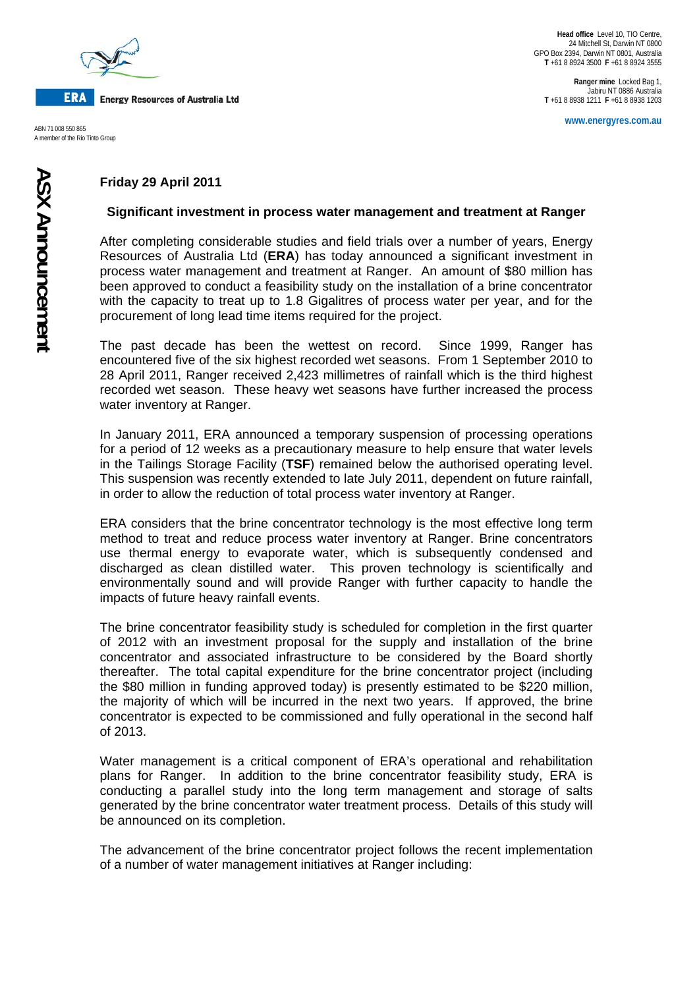

**ERA Energy Resources of Australia Ltd** 

A member of the Rio Tinto Group

**Ranger mine** Locked Bag 1, Jabiru NT 0886 Australia **T** +61 8 8938 1211 **F** +61 8 8938 1203

**www.energyres.com.au** ABN 71 008 550 865

## **Friday 29 April 2011**

## **Significant investment in process water management and treatment at Ranger**

After completing considerable studies and field trials over a number of years, Energy Resources of Australia Ltd (**ERA**) has today announced a significant investment in process water management and treatment at Ranger. An amount of \$80 million has been approved to conduct a feasibility study on the installation of a brine concentrator with the capacity to treat up to 1.8 Gigalitres of process water per year, and for the procurement of long lead time items required for the project.

The past decade has been the wettest on record. Since 1999, Ranger has encountered five of the six highest recorded wet seasons. From 1 September 2010 to 28 April 2011, Ranger received 2,423 millimetres of rainfall which is the third highest recorded wet season. These heavy wet seasons have further increased the process water inventory at Ranger.

In January 2011, ERA announced a temporary suspension of processing operations for a period of 12 weeks as a precautionary measure to help ensure that water levels in the Tailings Storage Facility (**TSF**) remained below the authorised operating level. This suspension was recently extended to late July 2011, dependent on future rainfall, in order to allow the reduction of total process water inventory at Ranger.

ERA considers that the brine concentrator technology is the most effective long term method to treat and reduce process water inventory at Ranger. Brine concentrators use thermal energy to evaporate water, which is subsequently condensed and discharged as clean distilled water. This proven technology is scientifically and environmentally sound and will provide Ranger with further capacity to handle the impacts of future heavy rainfall events.

The brine concentrator feasibility study is scheduled for completion in the first quarter of 2012 with an investment proposal for the supply and installation of the brine concentrator and associated infrastructure to be considered by the Board shortly thereafter. The total capital expenditure for the brine concentrator project (including the \$80 million in funding approved today) is presently estimated to be \$220 million, the majority of which will be incurred in the next two years. If approved, the brine concentrator is expected to be commissioned and fully operational in the second half of 2013.

Water management is a critical component of ERA's operational and rehabilitation plans for Ranger. In addition to the brine concentrator feasibility study, ERA is conducting a parallel study into the long term management and storage of salts generated by the brine concentrator water treatment process. Details of this study will be announced on its completion.

The advancement of the brine concentrator project follows the recent implementation of a number of water management initiatives at Ranger including: